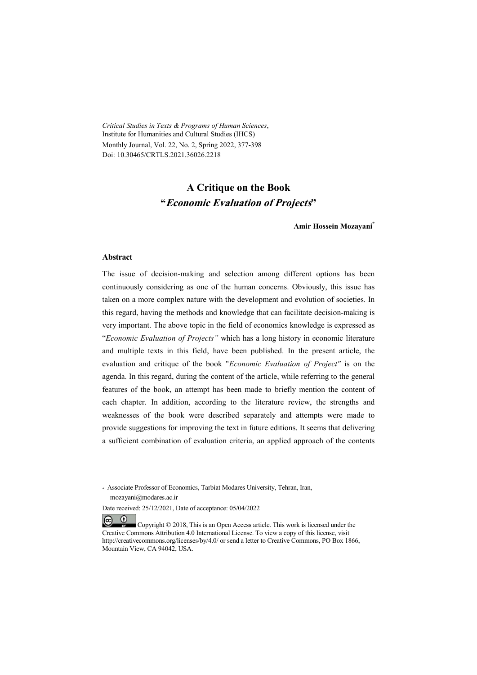*Critical Studies in Texts & Programs of Human Sciences*, Institute for Humanities and Cultural Studies (IHCS) Monthly Journal, Vol. 22, No. 2, Spring 2022, 377-398 Doi: 10.30465/CRTLS.2021.36026.2218

# **A Critique on the Book "Economic Evaluation of Projects"**

**Amir Hossein Mozayani\***

#### **Abstract**

The issue of decision-making and selection among different options has been continuously considering as one of the human concerns. Obviously, this issue has taken on a more complex nature with the development and evolution of societies. In this regard, having the methods and knowledge that can facilitate decision-making is very important. The above topic in the field of economics knowledge is expressed as "*Economic Evaluation of Projects"* which has a long history in economic literature and multiple texts in this field, have been published. In the present article, the evaluation and critique of the book "*Economic Evaluation of Project"* is on the agenda. In this regard, during the content of the article, while referring to the general features of the book, an attempt has been made to briefly mention the content of each chapter. In addition, according to the literature review, the strengths and weaknesses of the book were described separately and attempts were made to provide suggestions for improving the text in future editions. It seems that delivering a sufficient combination of evaluation criteria, an applied approach of the contents

\* Associate Professor of Economics, Tarbiat Modares University, Tehran, Iran, mozayani@modares.ac.ir

Date received: 25/12/2021, Date of acceptance: 05/04/2022

 $(c)$  $\bullet$  Copyright © 2018, This is an Open Access article. This work is licensed under the Creative Commons Attribution 4.0 International License. To view a copy of this license, visit http://creativecommons.org/licenses/by/4.0/ or send a letter to Creative Commons, PO Box 1866, Mountain View, CA 94042, USA.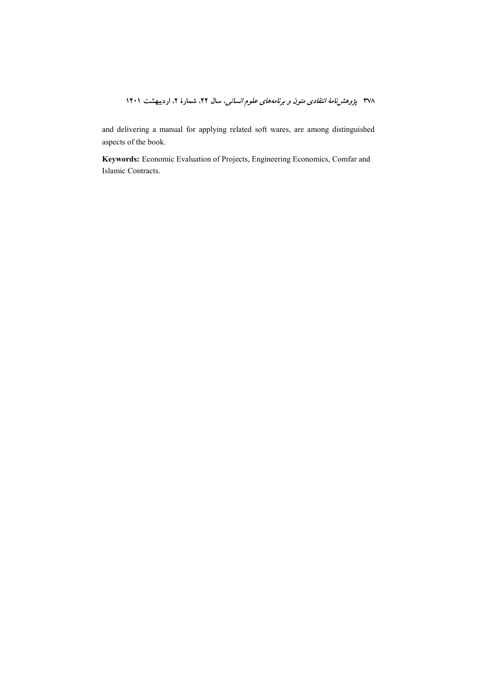and delivering a manual for applying related soft wares, are among distinguished aspects of the book.

Keywords: Economic Evaluation of Projects, Engineering Economics, Comfar and Islamic Contracts.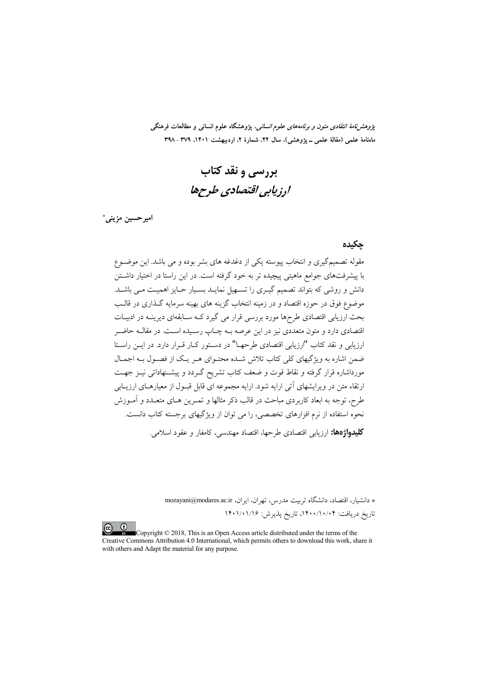*پژوهشنامهٔ انتقادی متون و برنامههای علوم انسانی،* پژوهشگاه علوم انسانی و مطالعات فرهنگی ماهنامهٔ علمی (مقالهٔ علمی ــ یژوهشی)، سال ۲۲، شمارهٔ ۲، اردیبهشت ۱۴۰۱، ۳۷۹ ـ ۳۹۸

بررسی و نقد کتاب ارزيابي اقتصادي طرحها

امير حسين مزيني\*

#### جكيده

مقوله تصمیمگیری و انتخاب پیوسته یکی از دغدغه های بشر بوده و می باشد. این موضـوع با پیشرفتهای جوامع ماهیتی پیچیده تر به خود گرفته است. در این راستا در اختیار داشــتن دانش و روشی که بتواند تصمیم گیـری را تســهیل نمایـد بسـیار حـایز اهمیـت مـی باشــد. موضوع فوق در حوزه اقتصاد و در زمینه انتخاب گزینه های بهینه سرمایه گـذاری در قالــب بحث ارزیابی اقتصادی طرحها مورد بررسی قرار می گیرد کـه سـابقهای دیرینـه در ادبیـات .<br>اقتصادی دارد و متون متعددی نیز در این عرصه بــه چــاب رســیده اســت. در مقالــه حاضــ ارزیابی و نقد کتاب "ارزیابی اقتصادی طرحهـا" در دسـتور کـار قـرار دارد. در ایــن راسـتا ضمن اشاره به ویژگیهای کلی کتاب تلاش شـده محتـوای هـر یـک از فصـول بـه اجمـال مورداشاره قرار گرفته و نقاط قوت و ضعف کتاب تشریح گــردد و پیشــنهاداتی نیــز جهــت ارتقاء متن در ویرایشهای آتی ارایه شود. ارایه مجموعه ای قابل قبـول از معیارهـای ارزیـابی طرح، توجه به ابعاد کاربردی مباحث در قالب ذکر مثالها و تمـرین هـای متعـدد و آمـوزش .<br>نحوه استفاده از نرم افزارهای تخصصی، را می توان از ویژگیهای برجسته کتاب دانست. **کلیدواژهها:** ارزیابی اقتصادی طرحها، اقتصاد مهندسی، کامفار و عقود اسلامی.

> \* دانشیار، اقتصاد، دانشگاه تربیت مدرس، تهران، ایران، mozayani@modares.ac.ir تاريخ دريافت: ۰/۰/۱۰/۰۴، تاريخ يذيرش: ۱۴۰۱/۰۱/۱۶

Copyright © 2018, This is an Open Access article distributed under the terms of the Creative Commons Attribution 4.0 International, which permits others to download this work, share it with others and Adapt the material for any purpose.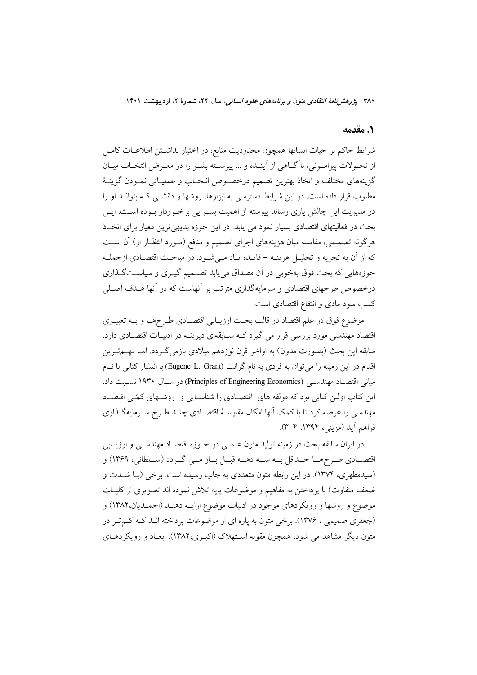### 1. مقدمه

شرایط حاکم بر حیات انسانها همچون محدودیت منابع، در اختیار نداشـتن اطلاعــات کامــل از تحـولات پیرامـونی، ناآگـاهی از آینـده و ... پیوسـته بشـر را در معـرض انتخـاب میـان گزینههای مختلف و اتخاذ بهترین تصمیم درخصوص انتخـاب و عملیـاتی نمـودن گزینــهٔ مطلوب قرار داده است. در این شرایط دسترسی به ابزارها، روشها و دانشــی کــه بتوانــد او را در مدیریت این چالش پاری رساند پیوسته از اهمیت بسـزایی برخـوردار بـوده اسـت. ایــن بحث در فعالیتهای اقتصادی بسیار نمود می یابد. در این حوزه بدیهیترین معیار برای اتخـاذ هرگونه تصمیمی، مقایسه میان هزینههای اجرای تصمیم و منافع (مـورد انتظـار از) آن اسـت كه از آن به تجزيه و تحليـل هزينــه – فايــده يــاد مــىشــود. در مباحـث اقتصــادي ازجملــه حوزههایی که بحث فوق بهخوبی در آن مصداق مییابد تصـمیم گیـری و سیاسـتگـذاری درخصوص طرحهای اقتصادی و سرمایهگذاری مترتب بر آنهاست که در آنها هـدف اصـلی کسب سود مادی و انتفاع اقتصادی است.

موضوع فوق در علم اقتصاد در قالب بحث ارزيـابي اقتصـادي طـرحهـا و بــه تعبيــري اقتصاد مهندسی مورد بررسی قرار می گیرد کـه سـابقهای دیرینـه در ادبیـات اقتصـادی دارد. سابقه این بحث (بصورت مدون) به اواخر قرن نوزدهم میلادی بازمیگـردد. امـا مهــمتــرین اقدام در این زمینه را می توان به فردی به نام گرانت (Eugene L. Grant) با انتشار کتابی با نــام مبانی اقتصاد مهندسی (Principles of Engineering Economics) در سال ۱۹۳۰ نسبت داد. این کتاب اولین کتابی بود که مولفه های اقتصادی را شناسایی و روشـهای کمّـی اقتصـاد مهندسی را عرضه کرد تا با کمک آنها امکان مقایسـهٔ اقتصـادی چنـد طـرح سـرمایهگـذاری فراهم آيد (مزيني، ١٣٩٤، ٣-٣).

در ايران سابقه بحث در زمينه توليد متون علمـي در حـوزه اقتصـاد مهندسـي و ارزيـابي اقتصــادي طــرحهــا حــداقل بــه ســه دهــه قبــل بــاز مــي گــردد (ســلطاني، ١٣۶٩) و (سیدمطهری، ۱۳۷۴). در این رابطه متون متعددی به چاپ رسیده است. برخی (بـا شــدت و ضعف متفاوت) با پرداختن به مفاهیم و موضوعات پایه تلاش نموده اند تصویری از کلیـات موضوع و روشها و رویکردهای موجود در ادبیات موضوع ارایـه دهنـد (احمـدیان،۱۳۸۲) و (جعفری صمیمی ، ۱۳۷۶). برخی متون به پاره ای از موضوعات پرداخته انـد کـه کــمتـر در متون دیگر مشاهد می شود. همچون مقوله اسـتهلاک (اکبـری،۱۳۸۲)، ابعـاد و رویکردهــای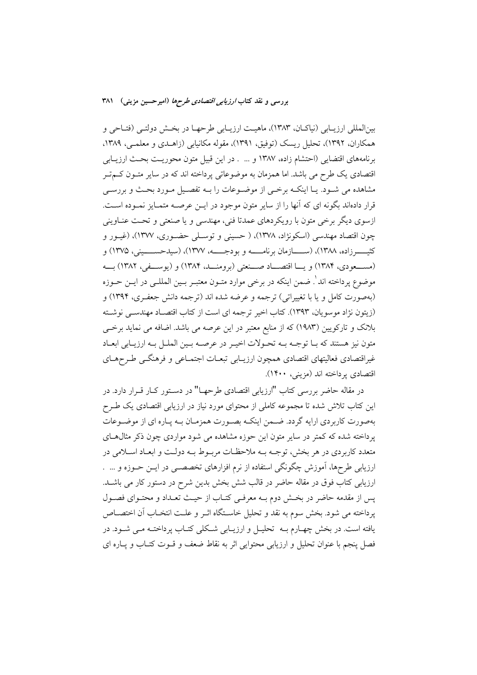بینالمللی ارزیـابی (نیاکـان، ۱۳۸۳)، ماهیـت ارزیـابی طرحهـا در بخـش دولتـی (فتـاحی و همکاران، ۱۳۹۲)، تحلیل ریسک (توفیق، ۱۳۹۱)، مقوله مکانیابی (زاهـدی و معلمـی، ۱۳۸۹، برنامههای اقتضایی (احتشام زاده، ۱۳۸۷ و ... . در این قبیل متون محوریـت بحـث ارزیـابی اقتصادی یک طرح می باشد. اما همزمان به موضوعاتی پرداخته اند که در سایر متـون کـمتـر مشاهده می شـود. یـا اینکـه برخـی از موضـوعات را بـه تفصـیل مـورد بحـث و بررسـی قرار دادهاند بگونه ای که آنها را از سایر متون موجود در ایــن عرصــه متمــایز نمــوده اســت. ازسوی دیگر برخی متون با رویکردهای عمدتا فنی، مهندسی و یا صنعتی و تحت عنـاوینی چون اقتصاد مهندسی (اسکونژاد، ۱۳۷۸)، ( حسینی و توسـلی حضـوری، ۱۳۷۷)، (غیـور و كثيـــــــرزاده، ١٣٨٨)، (ســـــــازمان برنامــــــه و بودجـــــه، ١٣٧٧)، (سيدحســـــيني، ١٣٧۵) و (مســعودي، ١٣٨۴) و يـــا اقتصـــاد صـــنعتي (برومنــد، ١٣٨۴) و (يوســـفي، ١٣٨٢) بــه موضوع پرداخته اند ٰ. ضمن اینکه در برخی موارد متـون معتبـر بـین المللـی در ایــن حــوزه (بهصورت كامل و يا با تغييراتي) ترجمه و عرضه شده اند (ترجمه دانش جعفـري، ١٣٩۴) و (زيتون نژاد موسويان، ١٣٩٣). كتاب اخير ترجمه اي است از كتاب اقتصـاد مهندسـي نوشـته بلانک و تارکویین (۱۹۸۳) که از منابع معتبر در این عرصه می باشد. اضافه می نماید برخی متون نیز هستند که بـا توجـه بـه تحـولات اخیـر در عرصـه بـین الملـل بـه ارزیـابی ابعـاد غیراقتصادی فعالیتهای اقتصادی همچون ارزیـابی تبعـات اجتمـاعی و فرهنگــی طـرحهـای اقتصادي پرداخته اند (مزيني، ۱۴۰۰).

در مقاله حاضر بررسی کتاب "ارزیابی اقتصادی طرحهــا" در دســتور کــار قــرار دارد. در این کتاب تلاش شده تا مجموعه کاملی از محتوای مورد نیاز در ارزیابی اقتصادی یک طـرح بهصورت كاربردي ارايه گردد. ضـمن اينكـه بصـورت همزمـان بـه پـاره اي از موضـوعات پرداخته شده که کمتر در سایر متون این حوزه مشاهده می شود مواردی چون ذکر مثال های متعدد کاربردی در هر بخش، توجـه بــه ملاحظـات مربــوط بــه دولــت و ابعــاد اســلامی در ارزیابی طرحها، آموزش چگونگی استفاده از نرم افزارهای تخصصـی در ایــن حــوزه و … . ارزیابی کتاب فوق در مقاله حاضر در قالب شش بخش بدین شرح در دستور کار می باشـد. پس از مقدمه حاضر در بخش دوم بـه معرفـي كتـاب از حيـث تعـداد و محتـواي فصـول يرداخته مي شود. بخش سوم به نقد و تحليل خاسـتگاه اثـر و علـت انتخـاب آن اختصــاص یافته است. در بخش چهـارم بــه تحلیــل و ارزیــابی شــکلی کتــاب پرداختــه مــی شــود. در فصل ينجم با عنوان تحليل و ارزيابي محتوايي اثر به نقاط ضعف و قـوت كتـاب و يـاره اي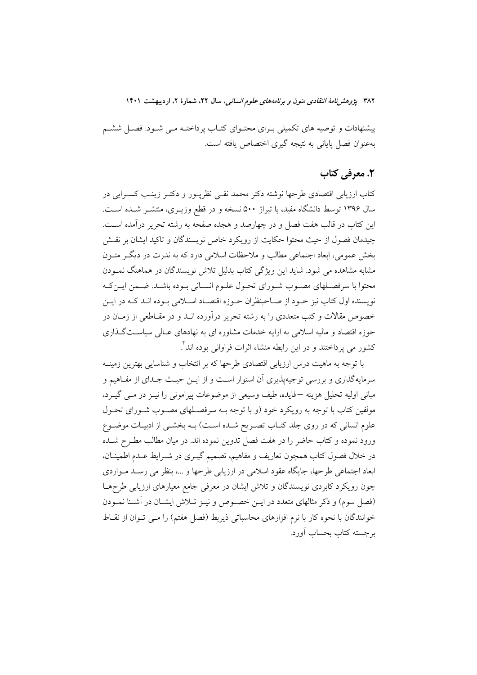پیشنهادات و توصیه های تکمیلی بـرای محتـوای کتـاب پرداختـه مـی شـود. فصـل ششـم بهعنوان فصل پایانی به نتیجه گیری اختصاص پافته است.

# ٢. معرفي كتاب

کتاب ارزیابی اقتصادی طرحها نوشته دکتر محمد نقـبی نظریـور و دکتـر زینـب کسـرایی در سال ۱۳۹۶ توسط دانشگاه مفید، با تیراژ ۵۰۰ نسخه و در قطع وزیــری، منتشــر شــده اســت. این کتاب در قالب هفت فصل و در چهارصد و هجده صفحه به رشته تحریر درآمده است. چیدمان فصول از حیث محتوا حکایت از رویکرد خاص نویسندگان و تاکید ایشان بر نقش بخش عمومی، ابعاد اجتماعی مطالب و ملاحظات اسلامی دارد که به ندرت در دیگر متـون مشابه مشاهده می شود. شاید این ویژگی کتاب بدلیل تلاش نویسندگان در هماهنگ نمـودن محتوا با سرفصـلهاي مصـوب شـوراي تحـول علـوم انسـاني بـوده باشـد. ضـمن ايـن٤كـه نویسنده اول کتاب نیز خـود از صـاحبنظران حـوزه اقتصـاد اســلامی بـوده انــد کــه در ایــن خصوص مقالات و کتب متعددی را به رشته تحریر درآورده انــد و در مقــاطعی از زمــان در جوزه اقتصاد و مالیه اسلامی به ارایه خدمات مشاوره ای به نهادهای عبالی سیاستگذاری کشور می یرداختند و در این رابطه منشاء اثرات فراوانی بوده اند".

با توجه به ماهیت درس ارزیابی اقتصادی طرحها که بر انتخاب و شناسایی بهترین زمینــه سرمایهگذاری و بررسی توجیهیذیری آن استوار است و از ایــن حیــث جــدای از مفــاهیم و مباني اوليه تحليل هزينه —فايده، طيف وسيعي از موضوعات پيراموني را نيـز در مـبي گيــرد، مولفین کتاب با توجه به رویکرد خود (و با توجه بـه سرفصـلهای مصـوب شـورای تحـول علوم انسانی که در روی جلد کتـاب تصـریح شـده اسـت) بـه بخشـی از ادبیـات موضـوع ورود نموده و کتاب حاضر را در هفت فصل تدوین نموده اند. در میان مطالب مطـرح شــده در خلال فصول کتاب همچون تعاریف و مفاهیم، تصمیم گیـری در شــرایط عــدم اطمینــان، ابعاد اجتماعی طرحها، جایگاه عقود اسلامی در ارزیابی طرحها و …، بنظر می رسـد مـواردی چون رویکرد کابردی نویسندگان و تلاش ایشان در معرفی جامع معیارهای ارزیابی طرحهـا (فصل سوم) و ذکر مثالهای متعدد در ایــن خصــوص و نیــز تــلاش ایشــان در آشــنا نمــودن خوانندگان با نحوه كار با نرم افزارهاى محاسباتى ذيربط (فصل هفتم) را مى توان از نقـاط برجسته كتاب بحساب أورد.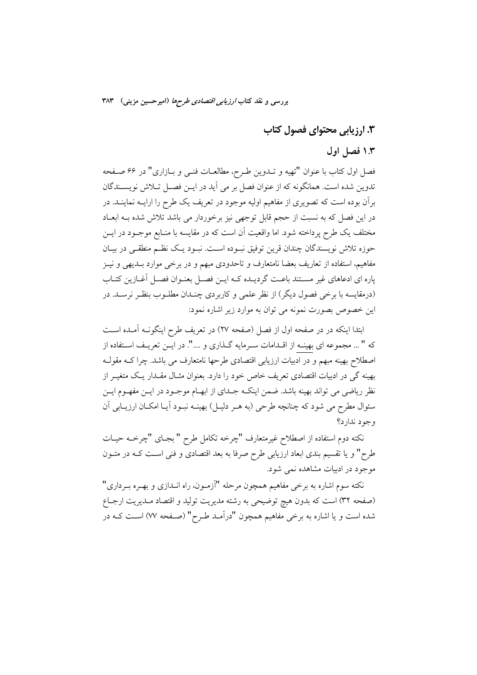# ۰۳. ارزیابی محتوای فصول کتاب

# ۱.۳ فصل اول

فصل اول كتاب با عنوان "تهيه و تــدوين طـرح، مطالعــات فنــي و بــازاري" در ۶۶ صــفحه تدوین شده است. همانگونه که از عنوان فصل بر می آید در ایـن فصـل تـلاش نویســندگان برآن بوده است که تصویری از مفاهیم اولیه موجود در تعریف یک طرح را ارایــه نماینــد. در در این فصل که به نسبت از حجم قابل توجهی نیز برخوردار می باشد تلاش شده بـه ابعـاد مختلف یک طرح پرداخته شود. اما واقعیت آن است که در مقایسه با منـابع موجــود در ایــن حوزه تلاش نويسندگان چندان قرين توفيق نبـوده اسـت. نبـود يـک نظـم منطقـي در بيـان مفاهیم، استفاده از تعاریف بعضا نامتعارف و تاحدودی مبهم و در برخی موارد بــدیهی و نیــز یاره ای ادعاهای غیر مسـتند باعـت گردیـده کـه ایــن فصــل بعنــوان فصــل آغــازین کتــاب (درمقایسه با برخی فصول دیگر) از نظر علمی و کاربردی چنـدان مطلـوب بنظـر نرسـد. در این خصوص بصورت نمونه می توان به موارد زیر اشاره نمود:

ابتدا اینکه در در صفحه اول از فصل (صفحه ۲۷) در تعریف طرح اینگونـه آمـده اسـت كه " ... مجموعه اي بهينـه از اقـدامات سـرمايه گـذاري و ....". در ايــن تعريـف اسـتفاده از اصطلاح بهینه مبهم و در ادبیات ارزیابی اقتصادی طرحها نامتعارف می باشد. چرا کــه مقولــه بھینه گی در ادبیات اقتصادی تعریف خاص خود را دارد. بعنوان مثــال مقــدار یــک متغیــر از نظر ریاضی می تواند بهینه باشد. ضمن اینکـه جــدای از ابهــام موجــود در ایــن مفهــوم ایــن سئوال مطرح می شود که چنانچه طرحی (به هـر دلیـل) بهینــه نبــود آیــا امکــان ارزیــابی آن وجود ندارد؟

نکته دوم استفاده از اصطلاح غیرمتعارف "چرخه تکامل طرح " بجـای "چرخــه حیـات طرح" و یا تقسیم بندی ابعاد ارزیابی طرح صرفا به بعد اقتصادی و فنی اسـت کــه در متــون موجود در ادبیات مشاهده نمی شود.

نکته سوم اشاره به برخی مفاهیم همچون مرحله "آزمـون، راه انــدازی و بهـره بــرداری" (صفحه ٣٢) است كه بدون هيچ توضيحي به رشته مديريت توليد و اقتصاد مـديريت ارجـاع شده است و یا اشاره به برخی مفاهیم همچون "درآمـد طـرح" (صـفحه ۷۷) اسـت کــه در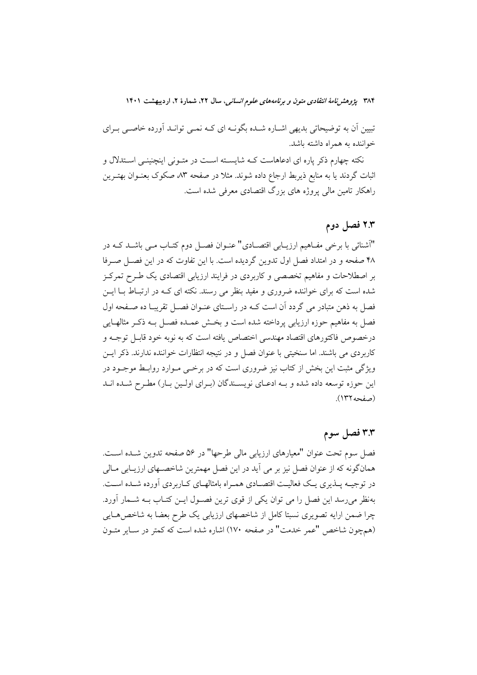تبیین اّن به توضیحاتی بدیهی اشـاره شـده بگونـه ای کـه نمـی توانـد اَورده خاصـی بـرای خواننده به همراه داشته باشد.

نکته چهارم ذکر یاره ای ادعاهاست کـه شایسـته اسـت در متـونی اینچنینـی اسـتدلال و اثبات گردند یا به منابع ذیربط ارجاع داده شوند. مثلا در صفحه ۸۳ صکوک بعنــوان بهتــرین راهکار تامین مالی پروژه های بزرگ اقتصادی معرفی شده است.

## ۲.۳ فصل دوم

"آشنائی با برخی مفـاهیم ارزیــابی اقتصــادی" عنــوان فصــل دوم کتــاب مــی باشــد کــه در ۴۸ صفحه و در امتداد فصل اول تدوین گردیده است. با این تفاوت که در این فصـل صـرفا بر اصطلاحات و مفاهیم تخصصی و کاربردی در فرایند ارزیابی اقتصادی یک طـرح تمرکـز شده است که برای خواننده ضروری و مفید بنظر می رسند. نکته ای کـه در ارتبـاط بــا ایــن فصل به ذهن متبادر می گردد آن است کــه در راســتای عنــوان فصــل تقریبــا ده صــفحه اول فصل به مفاهيم حوزه ارزيابي يرداخته شده است و بخــش عمــده فصــل بــه ذكــر مثالهــايي درخصوص فاكتورهاي اقتصاد مهندسي اختصاص يافته است كه به نوبه خود قابـل توجــه و كاربردي مي باشند. اما سنخيتي با عنوان فصل و در نتيجه انتظارات خواننده ندارند. ذكر ايـن ویژگی مثبت این بخش از کتاب نیز ضروری است که در برخمی مـوارد روابـط موجـود در این حوزه توسعه داده شده و بـه ادعـای نویسـندگان (بـرای اولـین بـار) مطـرح شـده انـد (صفحه ١٣٢).

### ۳.۳ فصل سوم

فصل سوم تحت عنوان "معيارهاي ارزيابي مالي طرحها" در ۵۶ صفحه تدوين شـده اسـت. همانگونه که از عنوان فصل نیز بر می آید در این فصل مهمترین شاخصـهای ارزیــابی مــالی در توجیـه پــذیری یــک فعالیــت اقتصــادی همــراه بامثالهــای کــاربردی آورده شــده اســت. بهنظر می رسد این فصل را می توان یکی از قوی ترین فصـول ایــن کتــاب بــه شــمار أورد. چرا ضمن ارایه تصویری نسبتا کامل از شاخصهای ارزیابی یک طرح بعضا به شاخصهـایی (همچون شاخص "عمر خدمت" در صفحه ۱۷۰) اشاره شده است که کمتر در سـایر متــون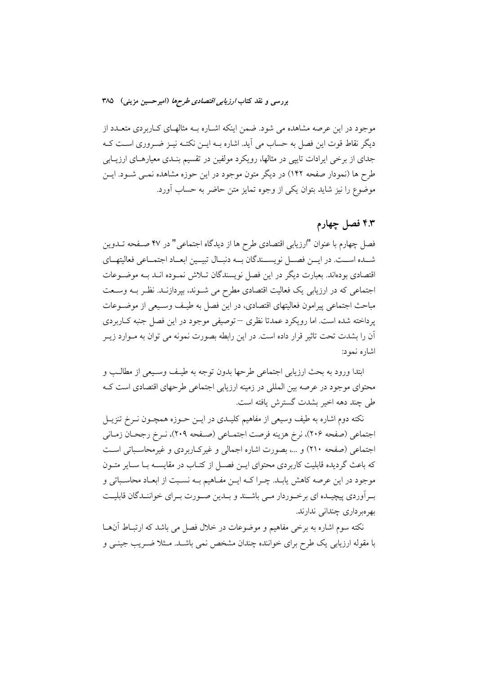موجود در این عرصه مشاهده می شود. ضمن اینکه اشـاره بــه مثالهـای کـاربردی متعــدد از دیگر نقاط قوت این فصل به حساب می آید. اشاره بــه ایــن نکتــه نیــز ضــروری اســت کــه جدای از برخی ایرادات تایپی در مثالها، رویکرد مولفین در تقسیم بنـدی معیارهـای ارزیـابی طرح ها (نمودار صفحه ۱۴۲) در دیگر متون موجود در این حوزه مشاهده نمـی شــود. ایــن موضوع را نیز شاید بتوان یکی از وجوه تمایز متن حاضر به حساب آورد.

# ۴.۳ فصل چهارم

فصل چهارم با عنوان "ارزيابي اقتصادي طرح ها از ديدگاه اجتماعي" در ۴۷ صـفحه تــدوين شــده اســت. در ايــن فصــل نويســندگان بــه دنبــال تبيــين ابعــاد اجتمــاعى فعاليتهــاي اقتصادی بودهاند. بعبارت دیگر در این فصل نویسندگان تــلاش نمــوده انــد بــه موضــوعات اجتماعی که در ارزیابی یک فعالیت اقتصادی مطرح می شـوند، بپردازنــد. نظـر بــه وســعت مباحث اجتماعي پيرامون فعاليتهاي اقتصادي، در اين فصل به طيـف وسـيعي از موضـوعات یر داخته شده است. اما رویکرد عمدتا نظری – توصیفی موجود در این فصل جنبه کباربردی اّن را بشدت تحت تاثیر قرار داده است. در این رابطه بصورت نمونه می توان به مــوارد زیــر اشاره نمود:

ابتدا ورود به بحث ارزيابي اجتماعي طرحها بدون توجه به طيـف وسـيعي از مطالـب و محتواي موجود در عرصه بين المللي در زمينه ارزيابي اجتماعي طرحهاي اقتصادي است كـه طي چند دهه اخير بشدت گسترش يافته است.

نکته دوم اشاره به طیف وسیعی از مفاهیم کلیـدی در ایــن حــوزه همچــون نــرخ تنزیــل اجتماعي (صفحه ٢٠۶)، نرخ هزينه فرصت اجتمـاعي (صـفحه ٢٠٩)، نـرخ رجحـان زمـاني اجتماعی (صفحه ۲۱۰) و …، بصورت اشاره اجمالی و غیرکاربردی و غیرمحاسباتی است که باعث گردیده قابلیت کاربردی محتوای ایــن فصــل از کتــاب در مقایســه بــا ســایر متــون موجود در این عرصه کاهش پابـد. چـرا کــه ایــن مفــاهیم بــه نســبت از ابعــاد محاســباتی و به آوردی پیچیـده ای برخـوردار مـی باشـند و بـدین صـورت بـرای خواننـدگان قابلیـت بھر میر داری چندانی ندارند.

نکته سوم اشاره به برخی مفاهیم و موضوعات در خلال فصل می باشد که ارتباط آن ما با مقوله ارزیابی یک طرح برای خواننده چندان مشخص نمی باشـد. مـثلا ضـریب جینــی و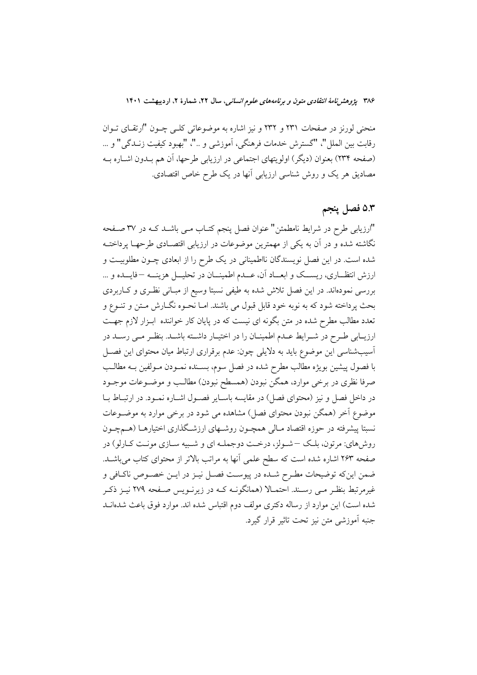منحنی لورنز در صفحات ۲۳۱ و ۲۳۲ و نیز اشاره به موضوعاتی کلـی چــون "ارتقــای تــوان رقابت بين الملل"، "گسترش خدمات فرهنگي، آموزشي و .."، "بهبود كيفيت زنــدگي" و ... (صفحه ٢٣٤) بعنوان (ديگر) اولويتهاي اجتماعي در ارزيابي طرحها، آن هم بـدون اشـاره بـه مصادیق هر یک و روش شناسی ارزیابی آنها در یک طرح خاص اقتصادی.

# ۵.۳ فصل پنجم

"ارزیابی طرح در شرایط نامطمئن" عنوان فصل پنجم کتـاب مـی باشـد کـه در ۳۷ صـفحه نگاشته شده و در آن به یکی از مهمترین موضوعات در ارزیابی اقتصـادی طرحهـا پرداختــه شده است. در این فصل نویسندگان نااطمینانی در یک طرح را از ابعادی چـون مطلوبیـت و ارزش انتظــاري، ريســك و ابعــاد أن، عــدم اطمينــان در تحليـــل هزينـــه –فايــده و ... بررسی نمودماند. در این فصل تلاش شده به طیفی نسبتا وسیع از مبـانی نظـری و کـاربردی بحث پرداخته شود که به نوبه خود قابل قبول می باشند. امـا نحــوه نگــارش مــتن و تنــوع و تعدد مطالب مطرح شده در متن بگونه ای نیست که در پایان کار خواننده ابـزار لازم جهـت ارزیــابی طـرح در شــرایط عــدم اطمینــان را در اختیــار داشــته باشــد. بنظــر مــی رســد در آسیب شناسی این موضوع باید به دلایلی چون: عدم برقراری ارتباط میان محتوای این فصـل با فصول پیشین بویژه مطالب مطرح شده در فصل سوم، بســنده نمــودن مــولفین بــه مطالــب صرفا نظری در برخی موارد، همگن نبودن (همسطح نبودن) مطالـب و موضــوعات موجــود در داخل فصل و نیز (محتوای فصل) در مقایسه باسـایر فصـول اشـاره نمـود. در ارتبـاط بـا موضوع آخر (همگن نبودن محتوای فصل) مشاهده می شود در برخی موارد به موضـوعات نسبتا پیشرفته در حوزه اقتصاد مـالی همچـون روشـهای ارزشـگذاری اختیارهـا (هـمچـون روش هاي: مرتون، بلک –شولز، درخت دوجملـه اي و شـبيه سـازي مونـت كـارلو) در صفحه ۲۶۳ اشاره شده است که سطح علمی آنها به مراتب بالاتر از محتوای کتاب میباشـد. ضمن اینکه توضیحات مطـرح شـده در پیوسـت فصـل نیـز در ایـن خصـوص ناکـافی و غیرمرتبط بنظـر مـّی رسـند. احتمـالا (همانگونـه کـه در زیرنـویس صـفحه ۲۷۹ نیـز ذکـر شده است) این موارد از رساله دکتری مولف دوم اقتباس شده اند. موارد فوق باعث شدهانــد جنبه آموزشي متن نيز تحت تاثير قرار گيرد.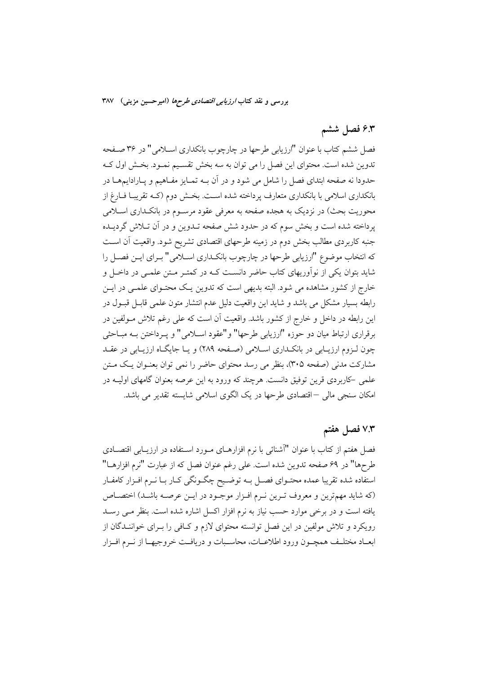# ۶.۳ فصل ششم

فصل ششم کتاب با عنوان "ارزيابي طرحها در چارچوب بانکداري اســلامي" در ۳۶ صـفحه تدوین شده است. محتوای این فصل را می توان به سه بخش تقسـیم نمـود. بخـش اول کـه حدودا نه صفحه ابتدای فصل را شامل می شود و در آن بــه تمــایز مفــاهیم و پــارادایـمهــا در بانکداری اسلامی با بانکداری متعارف پرداخته شده اسـت. بخـش دوم (کـه تقریبـا فــارغ از محوریت بحث) در نزدیک به هجده صفحه به معرفی عقود مرسـوم در بانکـداری اسـلامی یرداخته شده است و بخش سوم که در حدود شش صفحه تـدوین و در آن تـلاش گردیـده جنبه كاربردي مطالب بخش دوم در زمينه طرحهاي اقتصادي تشريح شود. واقعيت آن اسـت که انتخاب موضوع "ارزیابی طرحها در چارچوب بانکـداری اســلامی" بــرای ایــن فصــل را شاید بتوان یکی از نوآوریهای کتاب حاضر دانسـت کـه در کمتـر مـتن علمـی در داخـل و خارج از کشور مشاهده می شود. البته بدیهی است که تدوین یـک محتـوای علمـی در ایــن رابطه بسیار مشکل می باشد و شاید این واقعیت دلیل عدم انتشار متون علمی قابـل قبـول در این رابطه در داخل و خارج از کشور باشد. واقعیت آن است که علی رغم تلاش مـولفین در برقراري ارتباط ميان دو حوزه "ارزيابي طرحها" و"عقود اســلامي" و پـرداختن بـه مبـاحثي چون لـزوم ارزیـابی در بانکـداری اسـلامی (صـفحه ٢٨٩) و یـا جایگـاه ارزیـابی در عقـد مشارکت مدنی (صفحه ۳۰۵)، بنظر می رسد محتوای حاضر را نمی توان بعنـوان یـک مـتن علمی –کاربردی قرین توفیق دانست. هرچند که ورود به این عرصه بعنوان گامهای اولیــه در امکان سنجی مالی —اقتصادی طرحها در یک الگوی اسلامی شایسته تقدیر می باشد.

### ۷.۳ فصل هفتم

فصل هفتم از کتاب با عنوان "آشنائی با نرم افزارهـای مـورد اسـتفاده در ارزیـابی اقتصـادی طرحها" در ۶۹ صفحه تدوین شده است. علی رغم عنوان فصل که از عبارت "نرم افزارهــا" استفاده شده تقریبا عمده محتـوای فصـل بـه توضـیح چگـونگی کـار بـا نـرم افـزار کامفـار (كه شايد مهمترين و معروف تـرين نـرم افـزار موجـود در ايـن عرصـه باشـد) اختصـاص یافته است و در برخی موارد حسب نیاز به نرم افزار اکسل اشاره شده است. بنظر مـی رسـد رویکرد و تلاش مولفین در این فصل توانسته محتوای لازم و کـافی را بـرای خواننـدگان از ابعــاد مختلـف همچــون ورود اطلاعــات، محاســبات و دريافــت خروجيهــا از نــرم افــزار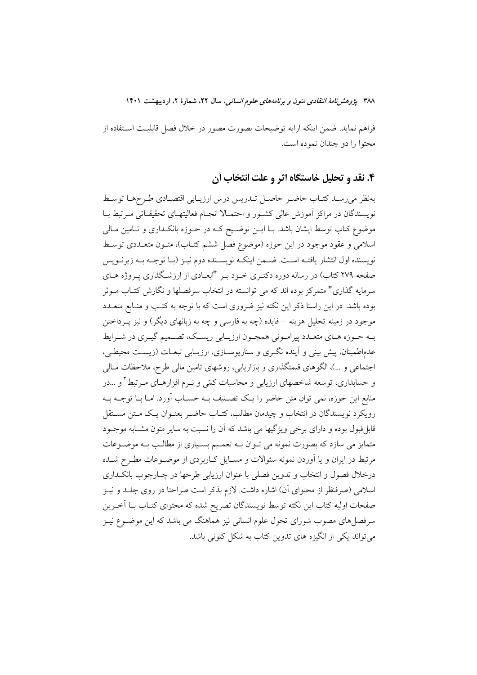فراهم نمايد. ضمن اينكه ارايه توضيحات بصورت مصور در خلال فصل قابليت استفاده از محتوا را دو چندان نموده است.

# ۴. نقد و تحلیل خاستگاه اثر و علت انتخاب أن

بەنظر مى رسىد كتـاب حاضـر حاصـل تـدريس درس ارزيـابى اقتصـادى طـرحهـا توسـط نویسندگان در مراکز آموزش عالی کشـور و احتمـالا انجـام فعالیتهـای تحقیقـاتی مـرتبط بـا موضوع کتاب توسط ایشان باشد. بـا ایــن توضــیح کــه در حــوزه بانکــداری و تــامین مــالی اسلامی و عقود موجود در این حوزه (موضوع فصل ششم کتـاب)، متــون متعــددی توســط نويسنده اول انتشار يافتـه اسـت. ضـمن اينكـه نويسـنده دوم نيـز (بـا توجـه بـه زيرنـويس صفحه ۲۷۹ کتاب) در رساله دوره دکتـری خــود بـر "ابعــادی از ارزشــگذاری پــروژه هــای سرمایه گذاری" متمرکز بوده اند که می توانسته در انتخاب سرفصلها و نگارش کتــاب مــوثر بوده باشد. در این راستا ذکر این نکته نیز ضروری است که با توجه به کتب و منـابع متعـدد موجود در زمینه تحلیل هزینه —فایده (چه به فارسی و چه به زبانهای دیگر) و نیز پــرداختن بـه حـوزه هـاي متعـدد پيرامـوني همچـون ارزيـابي ريسـك، تصـميم گيـري در شـرايط عدماطمینان، پیش بینی و اَینده نگـری و سناریوسـازی، ارزیـابی تبعـات (زیسـت محیطـی، اجتماعی و …)، الگوهای قیمتگذاری و بازاریابی، روشهای تامین مالی طرح، ملاحظات مــالی و حسابداری، توسعه شاخصهای ارزیابی و محاسبات کمّی و نـرم افزارهـای مـرتبط ٌ و …در منابع این حوزه، نمی توان متن حاضر را یـک تصـنیف بـه حسـاب آورد. امـا بـا توجـه بـه رويكرد نويسندگان در انتخاب و چيدمان مطالب، كتـاب حاضـر بعنـوان يـك مـتن مسـتقل .<br>قابلقبول بوده و دارای برخی ویژگیها می باشد که آن را نسبت به سایر متون مشـابه موجــود متمایز می سازد که بصورت نمونه می تـوان بـه تعمـیم بسـیاری از مطالـب بـه موضـوعات مرتبط در ایران و یا آوردن نمونه سئوالات و مســایل کــاربردی از موضــوعات مطــرح شــده درخلال فصول و انتخاب و تدوین فصلی با عنوان ارزیابی طرحها در چـارچوب بانکـداری اسلامی (صرفنظر از محتوای آن) اشاره داشت. لازم بذکر است صراحتا در روی جلـد و نیـز صفحات اولیه کتاب این نکته توسط نویسندگان تصریح شده که محتوای کتـاب بـا اَخــرین سرفصلهای مصوب شورای تحول علوم انسانی نیز هماهنگ می باشد که این موضــوع نیــز می تواند یکی از انگیزه های تدوین کتاب به شکل کنونی باشد.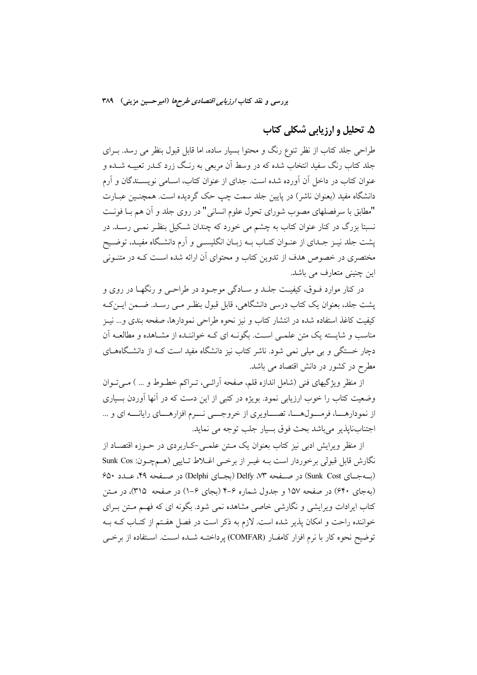# ۵. تحلیل و ارزیابی شکلی کتاب

طراحی جلد کتاب از نظر تنوع رنگ و محتوا بسیار ساده، اما قابل قبول بنظر می رسد. بـرای جلد کتاب رنگ سفید انتخاب شده که در وسط آن مربعی به رنـگ زرد کــدر تعبیــه شــده و عنوان کتاب در داخل آن آورده شده است. جدای از عنوان کتاب، اسـامی نویســندگان و آرم دانشگاه مفید (بعنوان ناشر) در پایین جلد سمت چپ حک گردیده است. همچنـین عبـارت "مطابق با سرفصلهای مصوب شورای تحول علوم انسانی" در روی جلد و آن هم بــا فونــت نسبتا بزرگ در کنار عنوان کتاب به چشم می خورد که چندان شکیل بنظـر نمـی رسـد. در پشت جلد نیـز جـدای از عنـوان کتـاب بــه زبـان انگلیســی و آرم دانشــگاه مفیـد، توضــیح مختصری در خصوص هدف از تدوین کتاب و محتوای آن ارائه شده اسـت کــه در متنــونی این چنینی متعارف می باشد.

در کنار موارد فــوق، کیفیــت جلــد و ســادگی موجــود در طراحــی و رنگهــا در روی و یشت جلد، بعنوان یک کتاب درسی دانشگاهی، قابل قبول بنظـر مـی رسـد. ضـمن ایــن کــه كيفيت كاغذ استفاده شده در انتشار كتاب و نيز نحوه طراحي نمودارها، صفحه بندي و… نيـز مناسب و شایسته یک متن علمـی اسـت. بگونــه ای کــه خواننــده از مشــاهده و مطالعــه آن دچار خستگی و بی میلی نمی شود. ناشر کتاب نیز دانشگاه مفید است کـه از دانشـگاههــای مطرح در کشور در دانش اقتصاد می باشد.

از منظر ویژگیهای فنی (شامل اندازه قلم، صفحه اَرائـی، تـراکم خطـوط و … ) مـیتـوان وضعیت کتاب را خوب ارزیابی نمود. بویژه در کتبی از این دست که در آنها آوردن بسیاری از نمودارهـا، فرمـوللهـا، تصـاویری از خروجــی نــرم افزارهــای رایانــه ای و ... اجتنابنايذير مي باشد بحث فوق بسيار جلب توجه مي نمايد.

از منظر ویرایش ادبی نیز کتاب بعنوان یک مــتن علمــی-کــاربردی در حــوزه اقتصــاد از نگارش قابل قبولي برخوردار است بـه غيـر از برخـي اغـلاط تـايپي (هـمچـون: Sunk Cos (ب4جـاي Sunk Cost) در صــفحه Delfy ، W (بجـاي Delphi) در صــفحه ۴۹، عــدد ۶۵۰ (بهجای ۶۴۰) در صفحه ۱۵۷ و جدول شماره ۶–۴ (بجای ۶–۱) در صفحه ۳۱۵)، در متن کتاب ایرادات ویرایشی و نگارشی خاصی مشاهده نمی شود. بگونه ای که فهـم مـتن بـرای خواننده راحت و امکان پذیر شده است. لازم به ذکر است در فصل هفتم از کتـاب کـه بـه توضيح نحوه كار با نرم افزار كامفـار (COMFAR) پرداختـه شـده اسـت. اسـتفاده از برخـى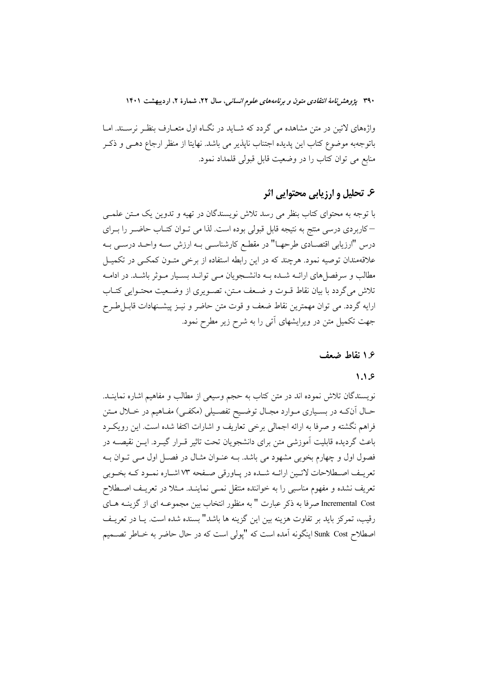واژههای لاتین در متن مشاهده می گردد که شـاید در نگـاه اول متعـارف بنظـر نرسـند. امـا باتوجهبه موضوع كتاب اين يديده اجتناب نايذير مي باشد. نهايتا از منظر ارجاع دهـي و ذكـر منابع می توان کتاب را در وضعیت قابل قبولی قلمداد نمود.

# ۶. تحلیل و ارزیابی محتوایی اثر

با توجه به محتواي كتاب بنظر مي رسد تلاش نويسندگان در تهيه و تدوين يک مـتن علمـي –کاربردی درسی منتج به نتیجه قابل قبولی بوده است. لذا می تـوان کتـاب حاضـر را بـرای درس "ارزيابي اقتصـادي طرحهـا" در مقطـع كارشناسـي بــه ارزش ســه واحــد درســي بــه علاقهمندان توصیه نمود. هرچند که در این رابطه استفاده از برخی متـون کمکـی در تکمیـل مطالب و سرفصل های ارائــه شــده بــه دانشــجویان مــی توانــد بســیار مــوثر باشــد. در ادامــه تلاش میگردد با بیان نقاط قـوت و ضـعف مـتن، تصـویری از وضـعیت محتـوایی کتـاب ارايه گردد. مي توان مهمترين نقاط ضعف و قوت متن حاضر و نيـز پيشـنهادات قابــلطـرح جهت تکمیل متن در ویرایشهای آتی را به شرح زیر مطرح نمود.

### ۱۶ نقاط ضعف

#### $1.1.5$

نویسندگان تلاش نموده اند در متن کتاب به حجم وسیعی از مطالب و مفاهیم اشاره نماینــد. حـال آنکـه در بسـیاري مـوارد مجـال توضـیح تفصـیلي (مکفـی) مفـاهیم در خــلال مـتن فراهم نگشته و صرفا به ارائه اجمالی برخی تعاریف و اشارات اکتفا شده است. این رویک رد باعث گردیده قابلیت آموزشی متن برای دانشجویان تحت تاثیر قـرار گیـرد. ایــن نقیصــه در فصول اول و چهارم بخوبی مشهود می باشد. بـه عنـوان مثـال در فصـل اول مـی تـوان بـه تعریـف اصـطلاحات لاتـین ارائـه شـده در پـاورقی صـفحه ۷۳ اشـاره نمـود کـه بخـوبی تعریف نشده و مفهوم مناسبی را به خواننده منتقل نمــی نماینــد. مــثلا در تعریــف اصــطلاح Incremental Cost صرفا به ذکر عبارت " به منظور انتخاب بین مجموعـه ای از گزینــه هــای رقيب، تمركز بايد بر تفاوت هزينه بين اين گزينه ها باشد" بسنده شده است. يــا در تعريــف اصطلاح Sunk Cost اینگونه آمده است که "پولی است که در حال حاضر به خــاطر تصــمیم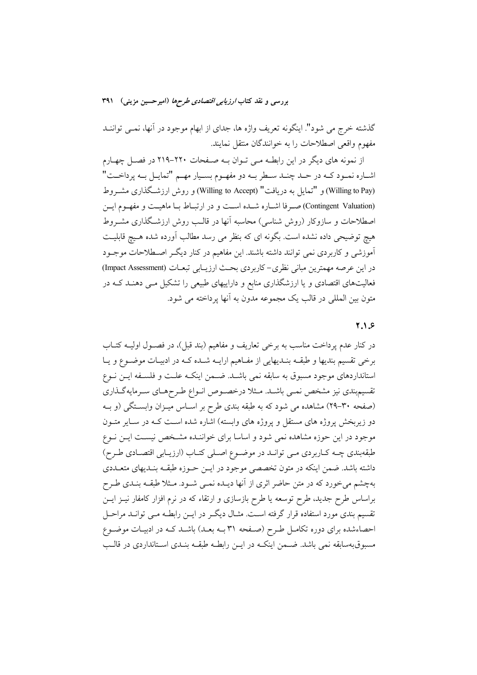گذشته خرج می شود". اینگونه تعریف واژه ها، جدای از ابهام موجود در آنها، نمسی تواننــد مفهوم واقعى اصطلاحات را به خوانندگان منتقل نمايند.

از نمونه های دیگر در این رابطـه مـی تـوان بـه صـفحات ۲۲۰-۲۱۹ در فصـل چهـارم اشـاره نمـود كـه در حـد چنـد سـطر بـه دو مفهـوم بسـيار مهـم "تمايـل بـه پرداخـت" (Willing to Pay) و "تمایل به دریافت" (Willing to Accept) و روش ارزشگذاری مشـروط (Contingent Valuation) صدرفا اشباره شبده است و در ارتبناط بنا ماهيت و مفهوم ايس اصطلاحات و سازوکار (روش شناسی) محاسبه آنها در قالب روش ارزشگذاری مشـروط هیچ توضیحی داده نشده است. بگونه ای که بنظر می رسد مطالب آورده شده هـیچ قابلیـت ۔<br>اَموزشی و کاربردی نمی توانند داشته باشند. این مفاهیم در کنار دیگہ اصـطلاحات موجـود در اين عرصه مهمترين مباني نظري-كاربردي بحث ارزيـابي تبعــات (Impact Assessment) فعالیتهای اقتصادی و یا ارزشگذاری منابع و داراییهای طبیعی را تشکیل مــی دهنــد کــه در متون بين المللي در قالب يک مجموعه مدون به آنها يرداخته مي شود.

### $7.1.5$

در کنار عدم پرداخت مناسب به برخی تعاریف و مفاهیم (بند قبل)، در فصـول اولیــه کتــاب برخی تقسیم بندیها و طبقـه بنـدیهایی از مفـاهیم ارایـه شـده کـه در ادبیـات موضـوع و یـا استانداردهای موجود مسبوق به سابقه نمی باشـد. ضـمن اینکـه علـت و فلسـفه ایـن نـوع تقسیم بندی نیز مشخص نمـی باشـد. مـثلا درخصـوص انـواع طـرحهـای سـرمایهگـذاری (صفحه ۳۰-۲۹) مشاهده می شود که به طبقه بندی طرح بر اسـاس میـزان وابسـتگی (و بـه دو زیربخش پروژه های مستقل و پروژه های وابسته) اشاره شده است کـه در سـایر متـون موجود در این حوزه مشاهده نمی شود و اساسا برای خواننـده مشـخص نیسـت ایــن نــوع طبقهبندي چـه كـاربردي مـي توانـد در موضـوع اصـلي كتـاب (ارزيـابي اقتصـادي طـرح) داشته باشد. ضمن اینکه در متون تخصصی موجود در ایــن حــوزه طبقــه بنــدیهای متعــددی بهچشم میخورد که در متن حاضر اثری از آنها دیـده نمـی شـود. مـثلا طبقـه بنـدی طـرح براساس طرح جدید، طرح توسعه یا طرح بازسازی و ارتقاء که در نرم افزار کامفار نیـز ایــن تقسیم بندی مورد استفاده قرار گرفته اسـت. مثـال دیگـر در ایــن رابطــه مــی توانــد مراحــل احصاءشده برای دوره تکامـل طـرِح (صـفحه ٣١ بـه بعـد) باشـد کـه در ادبيـات موضـوع مسبوقبهسابقه نمی باشد. ضـمن اینکـه در ایــن رابطـه طبقــه بنــدی اســتانداردی در قالــب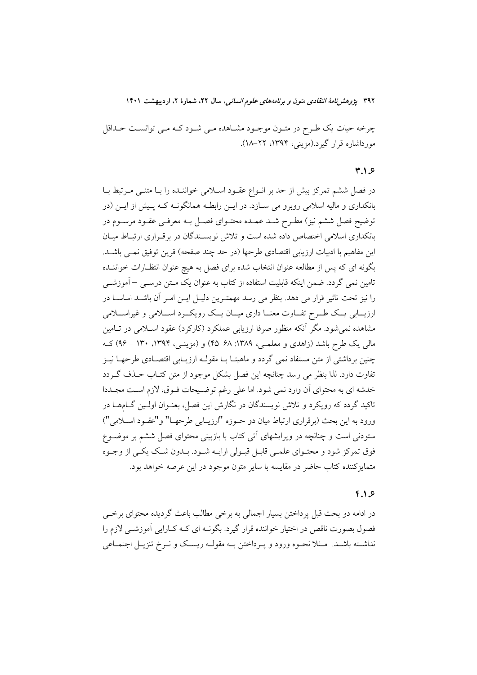چرخه حیات یک طـرح در متـون موجـود مشـاهده مـی شـود کـه مـی توانسـت حـداقل مورداشاره قرار گیرد.(مزینی، ۱۳۹۴، ۲۲–۱۸).

#### $7.1.5$

در فصل ششم تمرکز بیش از حد بر انـواع عقـود اسـلامی خواننـده را بـا متنـی مـرتبط بـا بانکداری و مالیه اسلامی روبرو می ســازد. در ایــن رابطــه همانگونــه کــه پــیش از ایــن (در ۔<br>توضیح فصل ششم نیز) مطـرح شــد عمــده محتــوای فصــل بــه معرفــی عقــود مرســوم در بانکداری اسلامی اختصاص داده شده است و تلاش نویسـندگان در برقـراری ارتبـاط میـان این مفاهیم با ادبیات ارزیابی اقتصادی طرحها (در حد چند صفحه) قرین توفیق نمــی باشــد. بگونه ای که پس از مطالعه عنوان انتخاب شده برای فصل به هیچ عنوان انتظـارات خواننــده تامین نمی گردد. ضمن اینکه قابلیت استفاده از کتاب به عنوان یک مــتن درســی –آموزشــی را نیز تحت تاثیر قرار می دهد. بنظر می رسد مهمتـرین دلیـل ایـن امـر آن باشـد اساسـا در ارزیــابی یــک طــرح تفــاوت معنــا داری میــان یــک رویکــرد اســـلامی و غیراســـلامی مشاهده نمی شود. مگر آنکه منظور صرفا ارزیابی عملکرد (کارکرد) عقود اسـلامی در تـامین مالی یک طرح باشد (زاهدی و معلمـی، ۱۳۸۹: ۶۸–۴۵) و (مزینـی، ۱۳۹۴، ۱۳۰ – ۹۶) کـه چنین برداشتی از متن مستفاد نمی گردد و ماهیتـا بــا مقولــه ارزیــابی اقتصــادی طرحهــا نیــز تفاوت دارد. لذا بنظر می رسد چنانچه این فصل بشکل موجود از متن کتــاب حــذف گــردد خدشه اي به محتواي آن وارد نمي شود. اما على رغم توضيحات فـوق، لازم اسـت مجـددا تاکید گردد که رویکرد و تلاش نویسندگان در نگارش این فصل، بعنـوان اولـین گــامهــا در ورود به این بحث (برقراری ارتباط میان دو حـوزه "ارزیــابی طرحهــا" و"عقـود اســلامی") ستودنی است و چنانچه در ویرایشهای اتی کتاب با بازبینی محتوای فصل ششم بر موضـوع فوق تمرکز شود و محتـوای علمـی قابـل قبـولی ارایــه شـود. بــدون شــک یکــی از وجــوه متمایزکننده کتاب حاضر در مقایسه با سایر متون موجود در این عرصه خواهد بود.

### $f.1.9$

در ادامه دو بحث قبل پرداختن بسیار اجمالی به برخی مطالب باعث گردیده محتوای برخبی فصول بصورت ناقص در اختیار خواننده قرار گیرد. بگونــه ای کــه کــارایی آموزشــی لازم را نداشــته باشــد. مــثلا نحــوه ورود و يــرداختن بــه مقولــه ريســك و نــرخ تنزيــل اجتمــاعي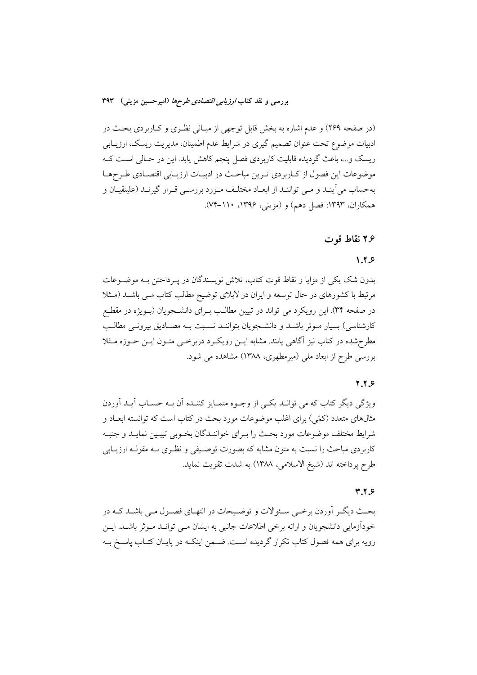(در صفحه ۲۶۹) و عدم اشاره به بخش قابل توجهي از مبـاني نظـري و كـاربردي بحـث در ادبیات موضوع تحت عنوان تصمیم گیری در شرایط عدم اطمینان، مدیریت ریسک، ارزیــابی ریسک و...، باعث گردیده قابلیت کاربردی فصل پنجم کاهش یابد. این در حـالی اسـت کـه موضوعات این فصول از کـاربردي تـرين مباحـث در ادبيـات ارزيـابي اقتصـادي طـرحهـا بهحساب میآینـد و مـی تواننـد از ابعـاد مختلـف مـورد بررسـی قـرار گیرنـد (علینقیـان و همکاران، ۱۳۹۳: فصل دهم) و (مزینی، ۱۳۹۶، ۱۱۰–۷۴).

#### ۲.۶ نقاط قوت

### $1.7.9$

بدون شک یکی از مزایا و نقاط قوت کتاب، تلاش نویسندگان در پـرداختن بــه موضــوعات مرتبط با کشورهای در حال توسعه و ایران در لابلای توضیح مطالب کتاب مـی باشــد (مـثلا در صفحه ۳۴). این رویکرد می تواند در تبیین مطالب بـرای دانشــجویان (بــویژه در مقطــع كارشناسي) بسيار مـوثر باشـد و دانشـجويان بتواننـد نسـبت بــه مصـاديق بيرونــي مطالـب مطرحشده در کتاب نیز آگاهی یابند. مشابه ایـن رویکـرد دربرخـی متـون ایـن حــوزه مــثلا بررسی طرح از ابعاد ملی (میرمطهری، ۱۳۸۸) مشاهده می شود.

### $7.7.9$

ویژگی دیگر کتاب که می توانید یکسی از وجبوه متمبایز کننیده آن بیه حسیاب آیید آوردن مثالهای متعدد (کمّی) برای اغلب موضوعات مورد بحث در کتاب است که توانسته ابعــاد و شرايط مختلف موضوعات مورد بحث را بـراي خواننـدگان بخـوبي تبيـين نمايـد و جنبـه کاربردی مباحث را نسبت به متون مشابه که بصورت توصـیفی و نظـری بــه مقولــه ارزیــابی طرح يرداخته اند (شيخ الاسلامي، ١٣٨٨) به شدت تقويت نمايد.

#### $Y,Y,8$

بحث دیگـر آوردن برخـی سـئوالات و توضـیحات در انتهـای فصـول مـی باشـد کـه در خوداًزمایی دانشجویان و ارائه برخی اطلاعات جانبی به ایشان مـی توانـد مـوثر باشـد. ایـن رویه برای همه فصول کتاب تکرار گردیده است. ضـمن اینکـه در پایـان کتـاب پاسـخ بـه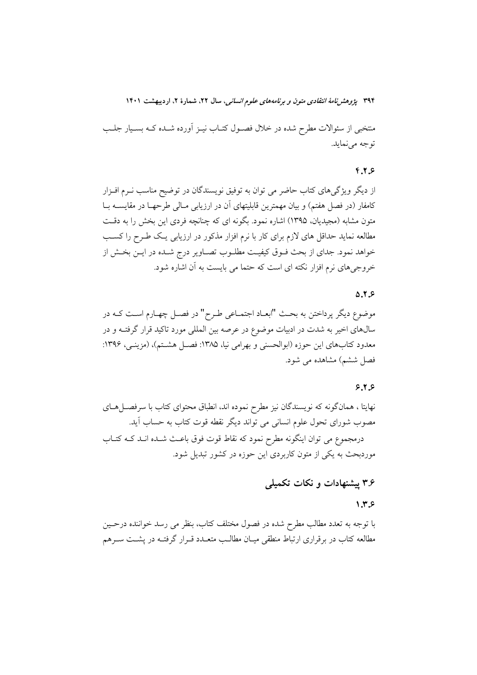منتخبی از سئوالات مطرح شده در خلال فصـول کتــاب نیــز اَورده شــده کــه بســیار جلــب توجه مي نمايد.

#### $f.7.9$

از دیگر ویژگیهای کتاب حاضر می توان به توفیق نویسندگان در توضیح مناسب نـرم افـزار کامفار (در فصل هفتم) و بیان مهمترین قابلیتهای آن در ارزیابی مـالی طرحهــا در مقایســه بــا متون مشابه (مجیدیان، ۱۳۹۵) اشاره نمود. بگونه ای که چنانچه فردی این بخش را به دقت مطالعه نماید حداقل های لازم برای کار با نرم افزار مذکور در ارزیابی یـک طـرح را کسـب خواهد نمود. جدای از بحث فـوق کیفیـت مطلـوب تصـاویر درج شـده در ایـن بخـش از خروجیهای نرم افزار نکته ای است که حتما می بایست به آن اشاره شود.

### $0.7.9$

موضوع ديگر پرداختن به بحث "ابعـاد اجتمـاعي طـرح" در فصـل چهـارم اسـت كـه در سالهای اخیر به شدت در ادبیات موضوع در عرصه بین المللی مورد تاکید قرار گرفتــه و در معدود کتابهای این حوزه (ابوالحسنی و بهرامی نیا، ۱۳۸۵: فصـل هشـتم)، (مزینـی، ۱۳۹۶: فصل ششم) مشاهده می شود.

### $9.7.9$

نهایتا ، همانگونه که نویسندگان نیز مطرح نموده اند، انطباق محتوای کتاب با سرفصــلهــای مصوب شورای تحول علوم انسانی می تواند دیگر نقطه قوت کتاب به حساب آید. درمجموع می توان اینگونه مطرح نمود که نقاط قوت فوق باعث شـده انـد کــه کتـاب موردبحث به یکی از متون کاربردی این حوزه در کشور تبدیل شود.

# ۳.۶ پیشنهادات و نکات تکمیلی

### $1.7.5$

با توجه به تعدد مطالب مطرح شده در فصول مختلف کتاب، بنظر می رسد خواننده درحـین مطالعه کتاب در برقراری ارتباط منطقی میـان مطالـب متعـدد قـرار گرفتـه در پشــت ســرهم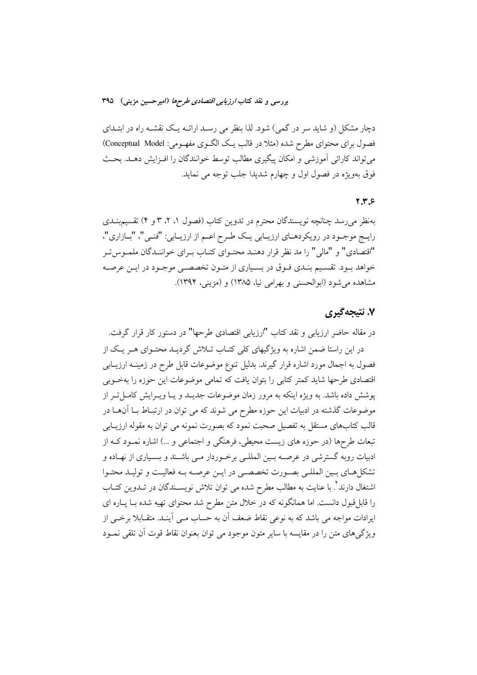دچار مشکل (و شاید سر در گمی) شود. لذا بنظر می رسـد ارائــه یـک نقشــه راه در ابتــدای فصول براي محتواي مطرح شده (مثلا در قالب يـك الگــوي مفهــومي: Conceptual Model) می تواند کارائی آموزشی و امکان پیگیری مطالب توسط خوانندگان را افـزایش دهـد. بحـث فوق بهويژه در فصول اول و چهارم شديدا جلب توجه مي نمايد.

### $Y,Y,S$

بهنظر می رسد چنانچه نویسندگان محترم در تدوین کتاب (فصول ۱، ۲، ۳ و ۴) تقسیمبنــدی رايـج موجـود در رويكردهـاي ارزيـابي يـك طـرح اعـم از ارزيـابي: "فنـي"، "بـازاري"، "اقتصادي" و "مالي" را مد نظر قرار دهنـد محتـواي كتـاب بـراي خواننـدگان ملمـوس تـر خواهد بـود. تقسـيم بنـدي فـوق در بسـياري از متـون تخصصـي موجـود در ايـن عرصـه مشاهده می شود (ابوالحسنی و بهرامی نیا، ۱۳۸۵) و (مزینی، ۱۳۹۴).

# ۷. نتیجهگیری

در مقاله حاضر ارزیابی و نقد کتاب "ارزیابی اقتصادی طرحها" در دستور کار قرار گرفت. در این راستا ضمن اشاره به ویژگیهای کلی کتـاب تــلاش گردیــد محتــوای هــر یــک از فصول به اجمال مورد اشاره قرار گیرند. بدلیل تنوع موضوعات قابل طرح در زمینـه ارزیــابی اقتصادی طرحها شاید کمتر کتابی را بتوان یافت که تمامی موضوعات این حوزه را بهخوبی پوشش داده باشد. به ویژه اینکه به مرور زمان موضوعات جدیــد و یــا ویــرایش کامــل تــر از موضوعات گذشته در ادبیات این حوزه مطرح می شوند که می توان در ارتبـاط بـا آنهـا در قالب کتابهای مستقل به تفصیل صحبت نمود که بصورت نمونه می توان به مقوله ارزیــابی تبعات طرحها (در حوزه های زیست محیطی، فرهنگی و اجتماعی و …) اشاره نمـود کــه از ادبیات روبه گسترشی در عرصـه بـین المللـی برخـوردار مـی باشـند و بسـیاری از نهـاده و تشکلهای بسین المللبی بصورت تخصصبی در ایــن عرصـه بــه فعالیـت و تولیــد محتـوا اشتغال دارند ٔ با عنایت به مطالب مطرح شده می توان تلاش نویســندگان در تــدوین کتــاب را قابلِ قبول دانست. اما همانگونه که در خلال متن مطرح شد محتوای تهیه شده بـا پـاره ای ایرادات مواجه می باشد که به نوعی نقاط ضعف آن به حساب مــی آینــد. متقــابلا برخــی از ویژگی های متن را در مقایسه با سایر متون موجود می توان بعنوان نقاط قوت آن تلقی نمـود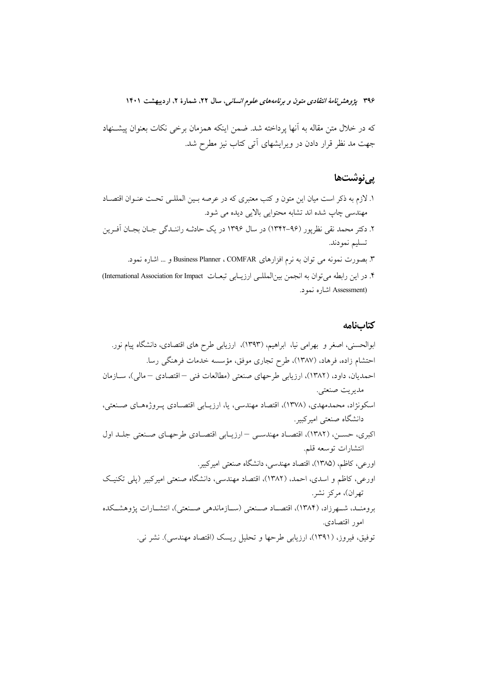که در خلال متن مقاله به آنها پرداخته شد. ضمن اینکه همزمان برخی نکات بعنوان پیشــنهاد جهت مد نظر قرار دادن در ویرایشهای آتی کتاب نیز مطرح شد.

# پىنوشتھا

- ١. لازم به ذكر است ميان اين متون و كتب معتبري كه در عرصه بـين المللـي تحـت عنـوان اقتصـاد مهندسی چاپ شده اند تشابه محتوایی بالایی دیده می شود.
- ۲. دکتر محمد نقی نظرپور (۹۶-۱۳۴۲) در سال ۱۳۹۶ در یک حادثـه راننـدگی جـان بجـان آفـرین تسليم نمودند.
	- ۳. بصورت نمونه می توان به نرم افزارهای Business Planner ، COMFAR و … اشاره نمود.
- ۴. در این رابطه می توان به انجمن بین الملله ارزیابی تبعـات International Association for Impact) (Assessment اشاره نمود.

### كتابنامه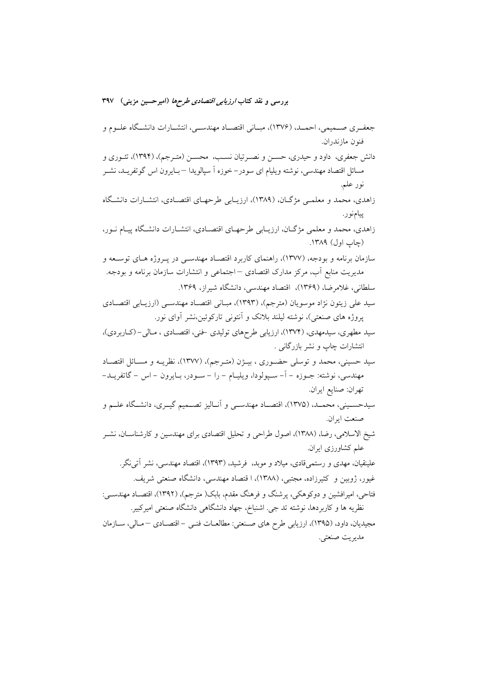جعف بي صـميمي، احمـد، (١٣٧۶)، مبــاني اقتصــاد مهندســي، انتشــارات دانشــگاه علــوم و فنو ن ماز ندر ان. دانش جعفری، داود و حیدری، حســن و نصــرتیان نســب، محســن (متــرجم)، (۱۳۹۴)، تئــوری و مسائل اقتصاد مهندسی، نوشته ویلیام ای سودر–خوزه اّ سپالویدا —بـایرون اس گوتفریــد، نشــر نور علم. زاهدی، محمد و معلمـی مژگـان، (۱۳۸۹)، ارزیـابی طرحهـای اقتصـادی، انتشـارات دانشـگاه پيامنور. زاهدي، محمد و معلمي مژگـان، ارزيـابي طرحهـاي اقتصـادي، انتشـارات دانشـگاه پيـام نـور، (چاپ اول) ۱۳۸۹. سازمان برنامه و بودجه، (۱۳۷۷)، راهنمای کاربرد اقتصـاد مهندسـی در پـروژه هـای توسـعه و مدیریت منابع أب، مرکز مدارک اقتصادی — اجتماعی و انتشارات سازمان برنامه و بودجه. سلطانی، غلام ضا، (۱۳۶۹)، اقتصاد مهندسی، دانشگاه شیراز، ۱۳۶۹. سيد علي زيتون نژاد موسويان (مترجم)، (١٣٩٣)، مبـاني اقتصـاد مهندسـي (ارزيـابي اقتصـادي پروژه های صنعتی)، نوشته لیلند بلانک و أنتونی تارکوئین،نشر أوای نور. سید مطهری، سیدمهدی، (۱۳۷۴)، ارزیابی طرحهای تولیدی خنی، اقتصـادی ، مـالی- (کـاربردی)، انتشارات چاپ و نشر بازرگانی . سيد حسيني، محمد و توسلي حضـوري ، بيــژن (متـرجم)، (١٣٧٧)، نظريــه و مســائل اقتصــاد مهندسي، نوشته: جــوزه – اً– ســپولودا، ويليــام – را – ســودر، بــايرون – اس – گاتفريــد– تهران: صنايع ايران. سیدحسـینی، محمـد، (۱۳۷۵)، اقتصـاد مهندسـی و آنــالیز تصــمیم گیــری، دانشـگاه علــم و صنعت ابران. شیخ الاسلامی، رضا، (۱۳۸۸)، اصول طراحی و تحلیل اقتصادی برای مهندسین و کارشناسـان، نشـر علم کشاورزی ایران. علینقیان، مهدی و رستمی،قادی، میلاد و موبد، فرشید. (۱۳۹۳)، اقتصاد مهندسی، نشر آتی نگر . غیور، ژوبین و کثیرزاده، مجتبی، (۱۳۸۸)، ا قتصاد مهندسی، دانشگاه صنعتی شریف. فتاحی، امیرافشین و دوکوهکی، پرشنگ و فرهنگ مقدم، بابک( مترجم)، (۱۳۹۲)، اقتصـاد مهندســی: نظريه ها و كاربردها، نوشته تد جي. اشنباخ، جهاد دانشگاهي دانشگاه صنعتي اميركبير. مجیدیان، داود، (۱۳۹۵)، ارزیابی طرح های صنعتی: مطالعات فنـی - اقتصـادی – مـالی، سـازمان مديريت صنعتي.